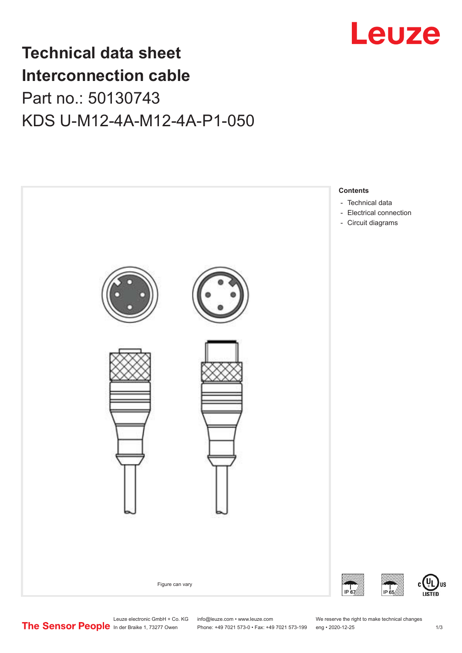

## **Technical data sheet Interconnection cable** Part no.: 50130743 KDS U-M12-4A-M12-4A-P1-050



US

Leuze electronic GmbH + Co. KG info@leuze.com • www.leuze.com We reserve the right to make technical changes<br>
The Sensor People in der Braike 1, 73277 Owen Phone: +49 7021 573-0 • Fax: +49 7021 573-199 eng • 2020-12-25

Phone: +49 7021 573-0 • Fax: +49 7021 573-199 eng • 2020-12-25 1 2020-12-25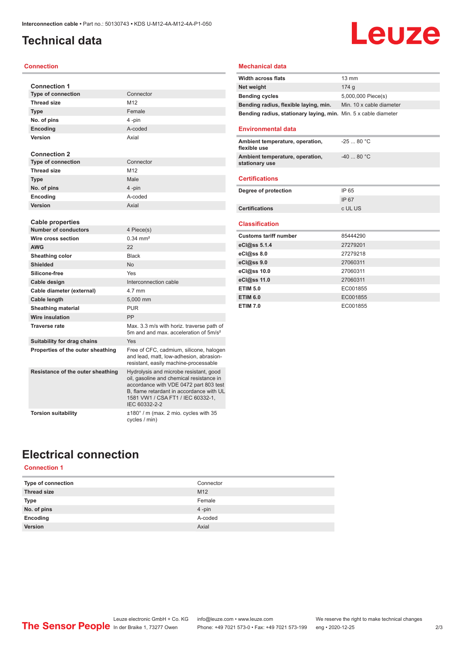### <span id="page-1-0"></span>**Technical data**

#### **Connection**

| <b>Connection 1</b>               |                                                                                                                                                                                                                                |
|-----------------------------------|--------------------------------------------------------------------------------------------------------------------------------------------------------------------------------------------------------------------------------|
| <b>Type of connection</b>         | Connector                                                                                                                                                                                                                      |
| <b>Thread size</b>                | M <sub>12</sub>                                                                                                                                                                                                                |
| <b>Type</b>                       | Female                                                                                                                                                                                                                         |
| No. of pins                       | 4-pin                                                                                                                                                                                                                          |
| <b>Encoding</b>                   | A-coded                                                                                                                                                                                                                        |
| Version                           | Axial                                                                                                                                                                                                                          |
|                                   |                                                                                                                                                                                                                                |
| <b>Connection 2</b>               |                                                                                                                                                                                                                                |
| <b>Type of connection</b>         | Connector                                                                                                                                                                                                                      |
| <b>Thread size</b>                | M <sub>12</sub>                                                                                                                                                                                                                |
| <b>Type</b>                       | Male                                                                                                                                                                                                                           |
| No. of pins                       | 4-pin                                                                                                                                                                                                                          |
| Encoding                          | A-coded                                                                                                                                                                                                                        |
| Version                           | Axial                                                                                                                                                                                                                          |
|                                   |                                                                                                                                                                                                                                |
| Cable properties                  |                                                                                                                                                                                                                                |
| <b>Number of conductors</b>       | 4 Piece(s)                                                                                                                                                                                                                     |
| Wire cross section                | $0.34 \, \text{mm}^2$                                                                                                                                                                                                          |
| <b>AWG</b>                        | 22                                                                                                                                                                                                                             |
| Sheathing color                   | <b>Black</b>                                                                                                                                                                                                                   |
| <b>Shielded</b>                   | <b>No</b>                                                                                                                                                                                                                      |
| Silicone-free                     | Yes                                                                                                                                                                                                                            |
| Cable design                      | Interconnection cable                                                                                                                                                                                                          |
| Cable diameter (external)         | 4.7 mm                                                                                                                                                                                                                         |
| Cable length                      | 5,000 mm                                                                                                                                                                                                                       |
| <b>Sheathing material</b>         | <b>PUR</b>                                                                                                                                                                                                                     |
| <b>Wire insulation</b>            | PP                                                                                                                                                                                                                             |
| <b>Traverse rate</b>              | Max, 3.3 m/s with horiz, traverse path of<br>5m and and max, acceleration of 5m/s <sup>2</sup>                                                                                                                                 |
| Suitability for drag chains       | Yes                                                                                                                                                                                                                            |
| Properties of the outer sheathing | Free of CFC, cadmium, silicone, halogen<br>and lead, matt, low-adhesion, abrasion-<br>resistant, easily machine-processable                                                                                                    |
| Resistance of the outer sheathing | Hydrolysis and microbe resistant, good<br>oil, gasoline and chemical resistance in<br>accordance with VDE 0472 part 803 test<br>B, flame retardant in accordance with UL<br>1581 VW1 / CSA FT1 / IEC 60332-1,<br>IEC 60332-2-2 |
| <b>Torsion suitability</b>        | $\pm 180^\circ$ / m (max. 2 mio. cycles with 35<br>cycles / min)                                                                                                                                                               |

### **Mechanical data**

| <b>Width across flats</b>                                       | $13 \text{ mm}$          |
|-----------------------------------------------------------------|--------------------------|
| Net weight                                                      | 174 a                    |
| <b>Bending cycles</b>                                           | 5,000,000 Piece(s)       |
| Bending radius, flexible laying, min.                           | Min. 10 x cable diameter |
| Bending radius, stationary laying, min. Min. 5 x cable diameter |                          |

**Leuze** 

#### **Environmental data**

| Ambient temperature, operation,<br>flexible use   | $-2580 °C$ |
|---------------------------------------------------|------------|
| Ambient temperature, operation,<br>stationary use | $-4080 °C$ |
|                                                   |            |

#### **Certifications**

| Degree of protection  | IP 65   |
|-----------------------|---------|
|                       | IP 67   |
| <b>Certifications</b> | c UL US |

#### **Classification**

| <b>Customs tariff number</b> | 85444290 |
|------------------------------|----------|
| eCl@ss 5.1.4                 | 27279201 |
| $eC/\omega$ ss 8.0           | 27279218 |
| eCl@ss 9.0                   | 27060311 |
| eCl@ss 10.0                  | 27060311 |
| eCl@ss 11.0                  | 27060311 |
| <b>ETIM 5.0</b>              | EC001855 |
| <b>ETIM 6.0</b>              | EC001855 |
| <b>ETIM 7.0</b>              | EC001855 |

### **Electrical connection**

### **Connection 1**

| Type of connection | Connector       |
|--------------------|-----------------|
| <b>Thread size</b> | M <sub>12</sub> |
| Type               | Female          |
| No. of pins        | $4 - pin$       |
| Encoding           | A-coded         |
| Version            | Axial           |